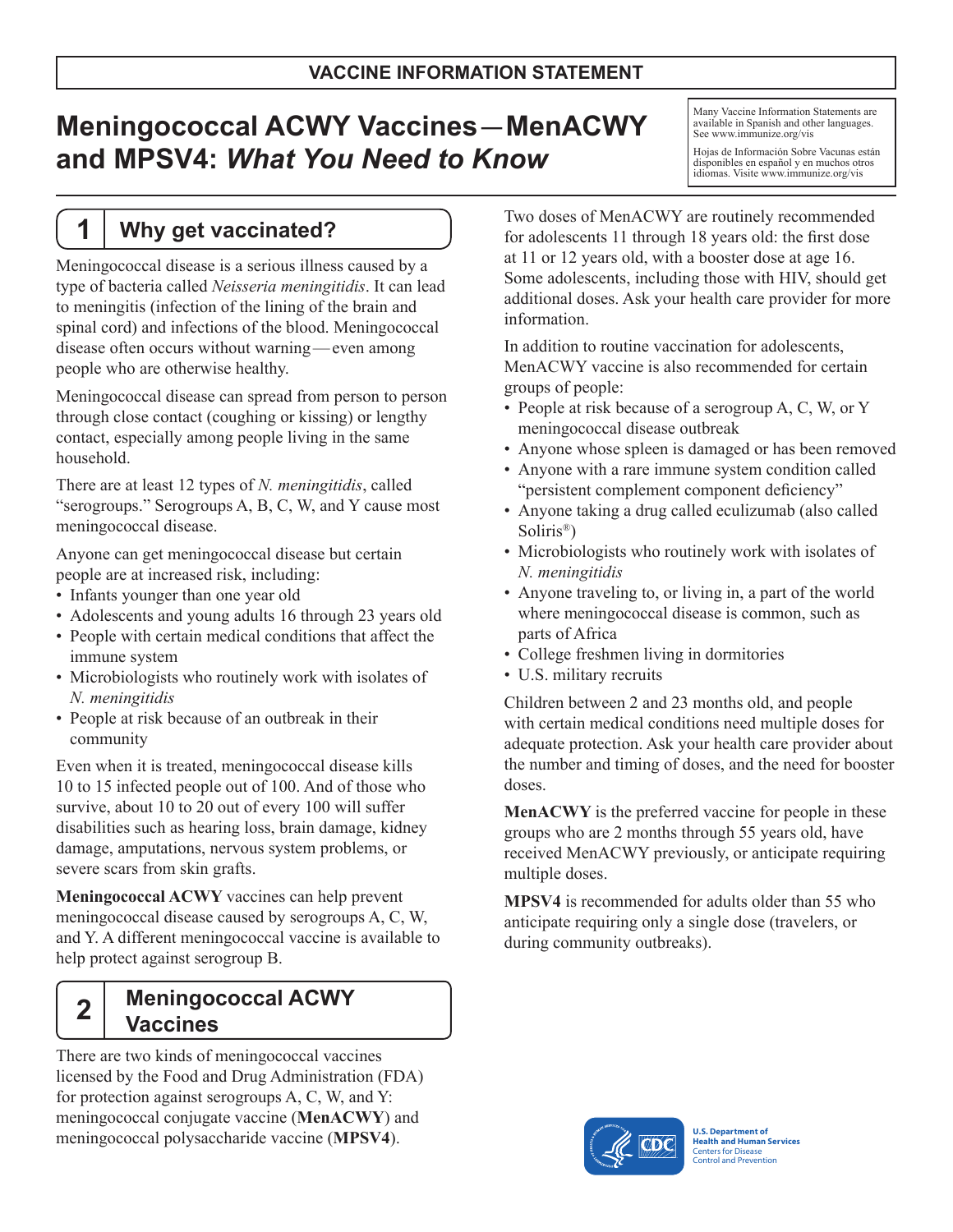# **Meningococcal ACWY Vaccines**— **MenACWY and MPSV4:** *What You Need to Know*

Many Vaccine Information Statements are available in Spanish and other languages. See [www.immunize.org/vis](http://www.immunize.org/vis)

Hojas de Información Sobre Vacunas están disponibles en español y en muchos otros idiomas. Visite<www.immunize.org/vis>

### **1 Why get vaccinated?**

Meningococcal disease is a serious illness caused by a type of bacteria called *Neisseria meningitidis*. It can lead to meningitis (infection of the lining of the brain and spinal cord) and infections of the blood. Meningococcal disease often occurs without warning—even among people who are otherwise healthy.

Meningococcal disease can spread from person to person through close contact (coughing or kissing) or lengthy contact, especially among people living in the same household.

There are at least 12 types of *N. meningitidis*, called "serogroups." Serogroups A, B, C, W, and Y cause most meningococcal disease.

Anyone can get meningococcal disease but certain people are at increased risk, including:

- Infants younger than one year old
- Adolescents and young adults 16 through 23 years old
- People with certain medical conditions that affect the immune system
- Microbiologists who routinely work with isolates of *N. meningitidis*
- People at risk because of an outbreak in their community

Even when it is treated, meningococcal disease kills 10 to 15 infected people out of 100. And of those who survive, about 10 to 20 out of every 100 will suffer disabilities such as hearing loss, brain damage, kidney damage, amputations, nervous system problems, or severe scars from skin grafts.

**Meningococcal ACWY** vaccines can help prevent meningococcal disease caused by serogroups A, C, W, and Y. A different meningococcal vaccine is available to help protect against serogroup B.

## **2 Meningococcal ACWY Vaccines**

There are two kinds of meningococcal vaccines licensed by the Food and Drug Administration (FDA) for protection against serogroups A, C, W, and Y: meningococcal conjugate vaccine (**MenACWY**) and meningococcal polysaccharide vaccine (**MPSV4**).

Two doses of MenACWY are routinely recommended for adolescents 11 through 18 years old: the first dose at 11 or 12 years old, with a booster dose at age 16. Some adolescents, including those with HIV, should get additional doses. Ask your health care provider for more information.

In addition to routine vaccination for adolescents, MenACWY vaccine is also recommended for certain groups of people:

- People at risk because of a serogroup A, C, W, or Y meningococcal disease outbreak
- Anyone whose spleen is damaged or has been removed
- Anyone with a rare immune system condition called "persistent complement component deficiency"
- Anyone taking a drug called eculizumab (also called Soliris®)
- Microbiologists who routinely work with isolates of *N. meningitidis*
- Anyone traveling to, or living in, a part of the world where meningococcal disease is common, such as parts of Africa
- College freshmen living in dormitories
- U.S. military recruits

Children between 2 and 23 months old, and people with certain medical conditions need multiple doses for adequate protection. Ask your health care provider about the number and timing of doses, and the need for booster doses.

**MenACWY** is the preferred vaccine for people in these groups who are 2 months through 55 years old, have received MenACWY previously, or anticipate requiring multiple doses.

**MPSV4** is recommended for adults older than 55 who anticipate requiring only a single dose (travelers, or during community outbreaks).